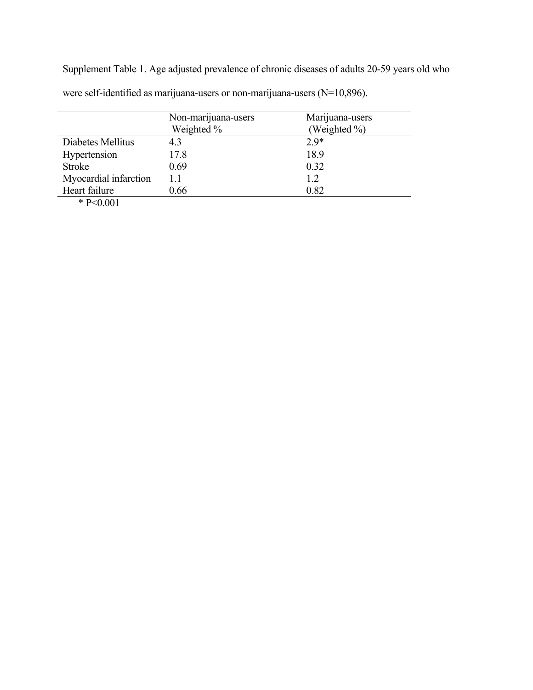Supplement Table 1. Age adjusted prevalence of chronic diseases of adults 20-59 years old who were self-identified as marijuana-users or non-marijuana-users (N=10,896).

|                       | Non-marijuana-users | Marijuana-users |
|-----------------------|---------------------|-----------------|
|                       | Weighted %          | (Weighted %)    |
| Diabetes Mellitus     | 4.3                 | $2.9*$          |
| Hypertension          | 17.8                | 18.9            |
| <b>Stroke</b>         | 0.69                | 0.32            |
| Myocardial infarction | 11                  | 1.2             |
| Heart failure         | 0.66                | 0.82            |
| $*$ D $\sim$ 0.01     |                     |                 |

\* P<0.001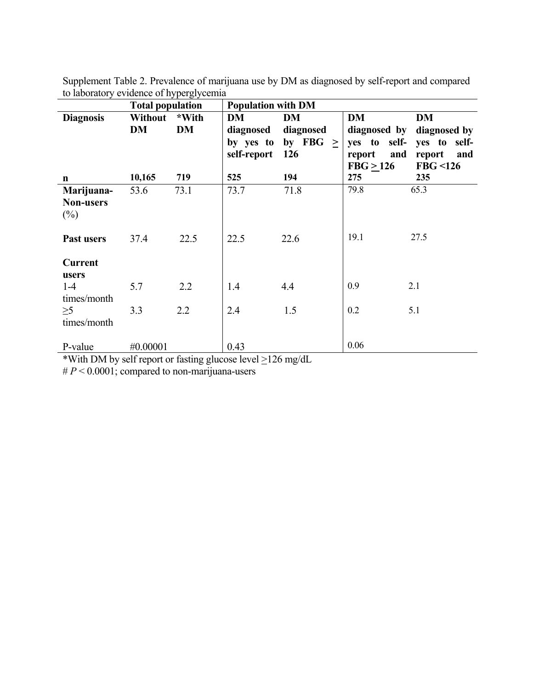|                  | <b>Total population</b> |           | <b>Population with DM</b> |            |               |               |
|------------------|-------------------------|-----------|---------------------------|------------|---------------|---------------|
| <b>Diagnosis</b> | <b>Without</b>          | *With     | <b>DM</b>                 | <b>DM</b>  | <b>DM</b>     | DM            |
|                  | DM                      | <b>DM</b> | diagnosed                 | diagnosed  | diagnosed by  | diagnosed by  |
|                  |                         |           | by yes to                 | by FBG $>$ | yes to self-  | yes to self-  |
|                  |                         |           | self-report               | 126        | report<br>and | report<br>and |
|                  |                         |           |                           |            | FBG > 126     | FBG < 126     |
| $\mathbf n$      | 10,165                  | 719       | 525                       | 194        | 275           | 235           |
| Marijuana-       | 53.6                    | 73.1      | 73.7                      | 71.8       | 79.8          | 65.3          |
| <b>Non-users</b> |                         |           |                           |            |               |               |
| $(\%)$           |                         |           |                           |            |               |               |
|                  |                         |           |                           |            |               |               |
| Past users       | 37.4                    | 22.5      | 22.5                      | 22.6       | 19.1          | 27.5          |
|                  |                         |           |                           |            |               |               |
| <b>Current</b>   |                         |           |                           |            |               |               |
| users            |                         |           |                           |            |               |               |
| $1 - 4$          | 5.7                     | 2.2       | 1.4                       | 4.4        | 0.9           | 2.1           |
| times/month      |                         |           |                           |            |               |               |
| $\geq 5$         | 3.3                     | 2.2       | 2.4                       | 1.5        | 0.2           | 5.1           |
| times/month      |                         |           |                           |            |               |               |
|                  |                         |           |                           |            |               |               |
| P-value          | #0.00001                |           | 0.43                      |            | 0.06          |               |

Supplement Table 2. Prevalence of marijuana use by DM as diagnosed by self-report and compared to laboratory evidence of hyperglycemia

\*With DM by self report or fasting glucose level  $\geq$ 126 mg/dL

 $# P < 0.0001$ ; compared to non-marijuana-users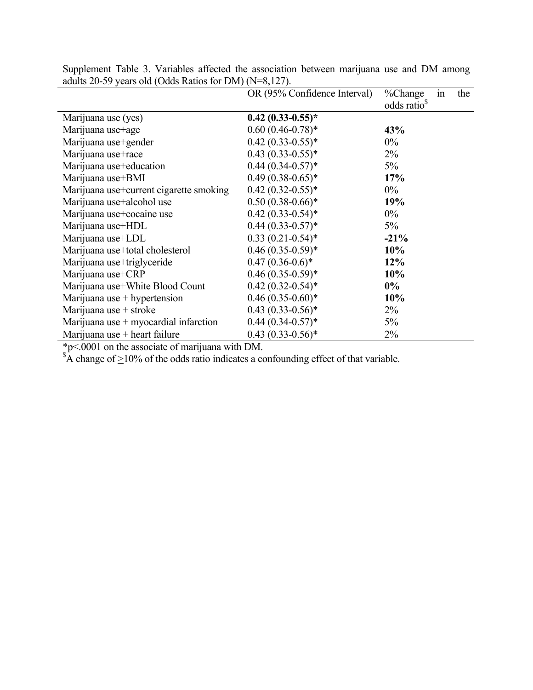|                                         | OR (95% Confidence Interval) | %Change<br>the<br>1n     |  |
|-----------------------------------------|------------------------------|--------------------------|--|
|                                         |                              | odds ratio <sup>\$</sup> |  |
| Marijuana use (yes)                     | $0.42$ $(0.33-0.55)$ *       |                          |  |
| Marijuana use+age                       | $0.60(0.46-0.78)$ *          | 43%                      |  |
| Marijuana use+gender                    | $0.42(0.33-0.55)*$           | $0\%$                    |  |
| Marijuana use+race                      | $0.43(0.33-0.55)*$           | $2\%$                    |  |
| Marijuana use+education                 | $0.44(0.34-0.57)$ *          | $5\%$                    |  |
| Marijuana use+BMI                       | $0.49(0.38-0.65)^*$          | 17%                      |  |
| Marijuana use+current cigarette smoking | $0.42(0.32-0.55)*$           | $0\%$                    |  |
| Marijuana use+alcohol use               | $0.50(0.38-0.66)*$           | 19%                      |  |
| Marijuana use+cocaine use               | $0.42(0.33-0.54)$ *          | $0\%$                    |  |
| Marijuana use+HDL                       | $0.44(0.33-0.57)^*$          | $5\%$                    |  |
| Marijuana use+LDL                       | $0.33(0.21-0.54)$ *          | $-21%$                   |  |
| Marijuana use+total cholesterol         | $0.46(0.35-0.59)*$           | 10%                      |  |
| Marijuana use+triglyceride              | $0.47(0.36-0.6)*$            | 12%                      |  |
| Marijuana use+CRP                       | $0.46(0.35-0.59)*$           | 10%                      |  |
| Marijuana use+White Blood Count         | $0.42(0.32-0.54)$ *          | $0\%$                    |  |
| Marijuana use + hypertension            | $0.46(0.35-0.60)$ *          | 10%                      |  |
| Marijuana use + stroke                  | $0.43(0.33-0.56)$ *          | $2\%$                    |  |
| Marijuana use $+$ myocardial infarction | $0.44(0.34-0.57)$ *          | $5\%$                    |  |
| Marijuana use $+$ heart failure         | $0.43(0.33-0.56)$ *          | 2%                       |  |

Supplement Table 3. Variables affected the association between marijuana use and DM among adults 20-59 years old (Odds Ratios for DM) (N=8,127).

\*p<.0001 on the associate of marijuana with DM.<br>  ${}^*A$  change of  $\geq$ 10% of the odds ratio indicates a confounding effect of that variable.